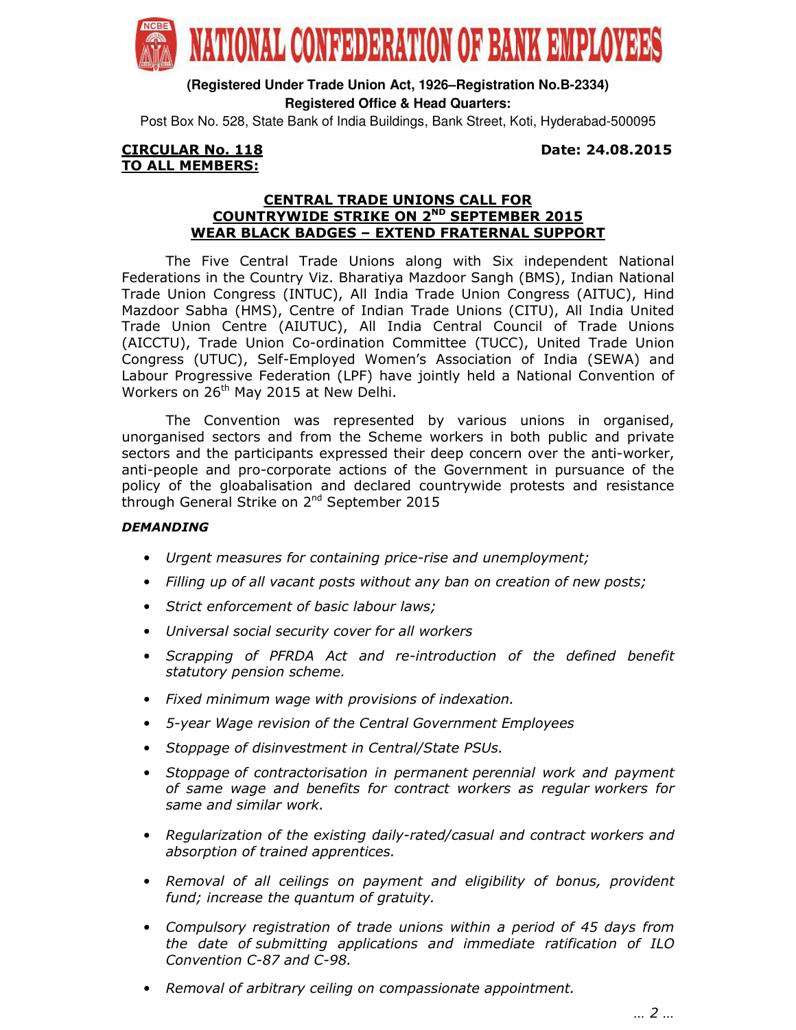

**(Registered Under Trade Union Act, 1926–Registration No.B-2334) Registered Office & Head Quarters:**

Post Box No. 528, State Bank of India Buildings, Bank Street, Koti, Hyderabad-500095

## CIRCULAR No. 118 Date: 24.08.2015 TO ALL MEMBERS:

## CENTRAL TRADE UNIONS CALL FOR COUNTRYWIDE STRIKE ON 2<sup>ND</sup> SEPTEMBER 2015 WEAR BLACK BADGES – EXTEND FRATERNAL SUPPORT

 The Five Central Trade Unions along with Six independent National Federations in the Country Viz. Bharatiya Mazdoor Sangh (BMS), Indian National Trade Union Congress (INTUC), All India Trade Union Congress (AITUC), Hind Mazdoor Sabha (HMS), Centre of Indian Trade Unions (CITU), All India United Trade Union Centre (AIUTUC), All India Central Council of Trade Unions (AICCTU), Trade Union Co-ordination Committee (TUCC), United Trade Union Congress (UTUC), Self-Employed Women's Association of India (SEWA) and Labour Progressive Federation (LPF) have jointly held a National Convention of Workers on 26<sup>th</sup> May 2015 at New Delhi.

 The Convention was represented by various unions in organised, unorganised sectors and from the Scheme workers in both public and private sectors and the participants expressed their deep concern over the anti-worker, anti-people and pro-corporate actions of the Government in pursuance of the policy of the gloabalisation and declared countrywide protests and resistance through General Strike on 2<sup>nd</sup> September 2015

## DEMANDING

- Urgent measures for containing price-rise and unemployment;
- Filling up of all vacant posts without any ban on creation of new posts;
- Strict enforcement of basic labour laws;
- Universal social security cover for all workers
- Scrapping of PFRDA Act and re-introduction of the defined benefit statutory pension scheme.
- Fixed minimum wage with provisions of indexation.
- 5-year Wage revision of the Central Government Employees
- Stoppage of disinvestment in Central/State PSUs.
- Stoppage of contractorisation in permanent perennial work and payment of same wage and benefits for contract workers as regular workers for same and similar work.
- Regularization of the existing daily-rated/casual and contract workers and absorption of trained apprentices.
- Removal of all ceilings on payment and eligibility of bonus, provident fund; increase the quantum of gratuity.
- Compulsory registration of trade unions within a period of 45 days from the date of submitting applications and immediate ratification of ILO Convention C-87 and C-98.
- Removal of arbitrary ceiling on compassionate appointment.